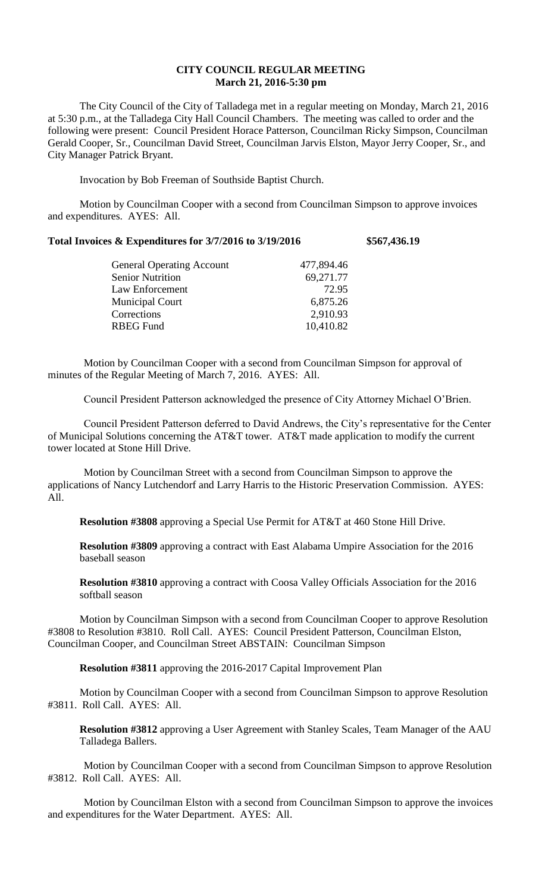## **CITY COUNCIL REGULAR MEETING March 21, 2016-5:30 pm**

The City Council of the City of Talladega met in a regular meeting on Monday, March 21, 2016 at 5:30 p.m., at the Talladega City Hall Council Chambers. The meeting was called to order and the following were present: Council President Horace Patterson, Councilman Ricky Simpson, Councilman Gerald Cooper, Sr., Councilman David Street, Councilman Jarvis Elston, Mayor Jerry Cooper, Sr., and City Manager Patrick Bryant.

Invocation by Bob Freeman of Southside Baptist Church.

Motion by Councilman Cooper with a second from Councilman Simpson to approve invoices and expenditures. AYES: All.

## **Total Invoices & Expenditures for 3/7/2016 to 3/19/2016 \$567,436.19**

| <b>General Operating Account</b> | 477,894.46 |
|----------------------------------|------------|
| <b>Senior Nutrition</b>          | 69,271.77  |
| Law Enforcement                  | 72.95      |
| <b>Municipal Court</b>           | 6,875.26   |
| Corrections                      | 2,910.93   |
| <b>RBEG Fund</b>                 | 10,410.82  |
|                                  |            |

Motion by Councilman Cooper with a second from Councilman Simpson for approval of minutes of the Regular Meeting of March 7, 2016. AYES: All.

Council President Patterson acknowledged the presence of City Attorney Michael O'Brien.

Council President Patterson deferred to David Andrews, the City's representative for the Center of Municipal Solutions concerning the AT&T tower. AT&T made application to modify the current tower located at Stone Hill Drive.

Motion by Councilman Street with a second from Councilman Simpson to approve the applications of Nancy Lutchendorf and Larry Harris to the Historic Preservation Commission. AYES: All.

**Resolution #3808** approving a Special Use Permit for AT&T at 460 Stone Hill Drive.

**Resolution #3809** approving a contract with East Alabama Umpire Association for the 2016 baseball season

**Resolution #3810** approving a contract with Coosa Valley Officials Association for the 2016 softball season

Motion by Councilman Simpson with a second from Councilman Cooper to approve Resolution #3808 to Resolution #3810. Roll Call. AYES: Council President Patterson, Councilman Elston, Councilman Cooper, and Councilman Street ABSTAIN: Councilman Simpson

**Resolution #3811** approving the 2016-2017 Capital Improvement Plan

Motion by Councilman Cooper with a second from Councilman Simpson to approve Resolution #3811. Roll Call. AYES: All.

**Resolution #3812** approving a User Agreement with Stanley Scales, Team Manager of the AAU Talladega Ballers.

Motion by Councilman Cooper with a second from Councilman Simpson to approve Resolution #3812. Roll Call. AYES: All.

Motion by Councilman Elston with a second from Councilman Simpson to approve the invoices and expenditures for the Water Department. AYES: All.